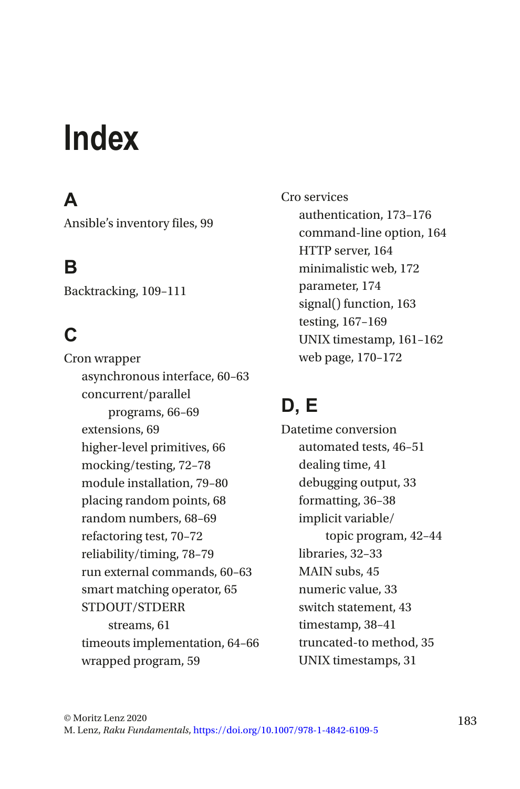# **Index**

# **A**

Ansible's inventory files, 99

# **B**

Backtracking, 109–111

# **C**

Cron wrapper asynchronous interface, 60–63 concurrent/parallel programs, 66–69 extensions, 69 higher-level primitives, 66 mocking/testing, 72–78 module installation, 79–80 placing random points, 68 random numbers, 68–69 refactoring test, 70–72 reliability/timing, 78–79 run external commands, 60–63 smart matching operator, 65 STDOUT/STDERR streams, 61 timeouts implementation, 64–66 wrapped program, 59

Cro services authentication, 173–176 command-line option, 164 HTTP server, 164 minimalistic web, 172 parameter, 174 signal() function, 163 testing, 167–169 UNIX timestamp, 161–162 web page, 170–172

# **D, E**

Datetime conversion automated tests, 46–51 dealing time, 41 debugging output, 33 formatting, 36–38 implicit variable/ topic program, 42–44 libraries, 32–33 MAIN subs, 45 numeric value, 33 switch statement, 43 timestamp, 38–41 truncated-to method, 35 UNIX timestamps, 31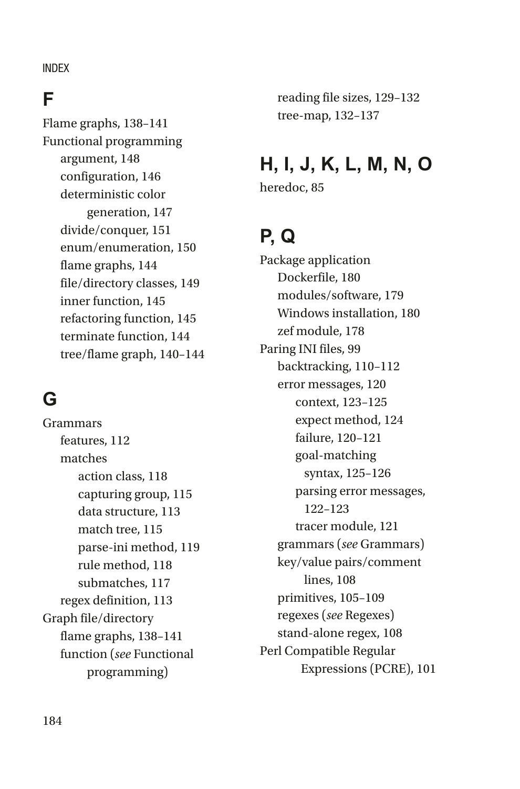#### INDEX

#### **F**

Flame graphs, 138–141 Functional programming argument, 148 configuration, 146 deterministic color generation, 147 divide/conquer, 151 enum/enumeration, 150 flame graphs, 144 file/directory classes, 149 inner function, 145 refactoring function, 145 terminate function, 144 tree/flame graph, 140–144

# **G**

Grammars features, 112 matches action class, 118 capturing group, 115 data structure, 113 match tree, 115 parse-ini method, 119 rule method, 118 submatches, 117 regex definition, 113 Graph file/directory flame graphs, 138–141 function (*see* Functional programming)

reading file sizes, 129–132 tree-map, 132–137

### **H, I, J, K, L, M, N, O**

heredoc, 85

## **P, Q**

Package application Dockerfile, 180 modules/software, 179 Windows installation, 180 zef module, 178 Paring INI files, 99 backtracking, 110–112 error messages, 120 context, 123–125 expect method, 124 failure, 120–121 goal-matching syntax, 125–126 parsing error messages, 122–123 tracer module, 121 grammars (*see* Grammars) key/value pairs/comment lines, 108 primitives, 105–109 regexes (*see* Regexes) stand-alone regex, 108 Perl Compatible Regular Expressions (PCRE), 101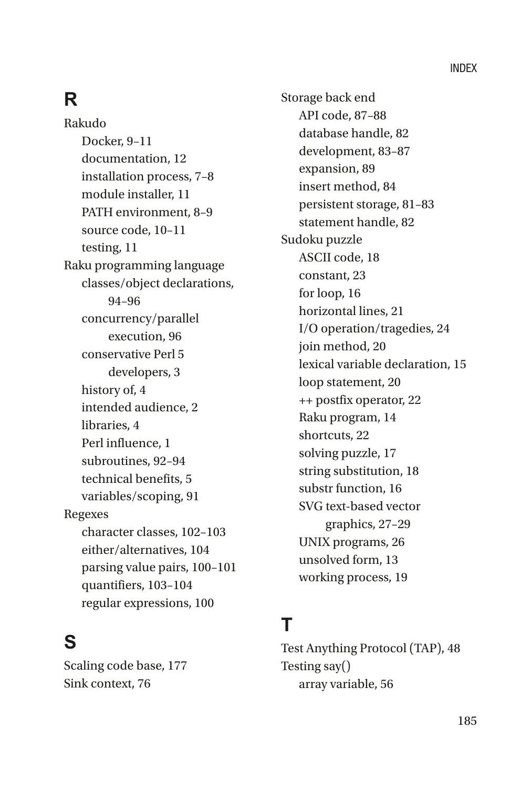# **R**

Rakudo Docker, 9–11 documentation, 12 installation process, 7–8 module installer, 11 PATH environment, 8–9 source code, 10–11 testing, 11 Raku programming language classes/object declarations, 94–96 concurrency/parallel execution, 96 conservative Perl 5 developers, 3 history of, 4 intended audience, 2 libraries, 4 Perl influence, 1 subroutines, 92–94 technical benefits, 5 variables/scoping, 91 Regexes character classes, 102–103 either/alternatives, 104 parsing value pairs, 100–101 quantifiers, 103–104 regular expressions, 100

# **S**

Scaling code base, 177 Sink context, 76

Storage back end API code, 87–88 database handle, 82 development, 83–87 expansion, 89 insert method, 84 persistent storage, 81–83 statement handle, 82 Sudoku puzzle ASCII code, 18 constant, 23 for loop, 16 horizontal lines, 21 I/O operation/tragedies, 24 join method, 20 lexical variable declaration, 15 loop statement, 20 ++ postfix operator, 22 Raku program, 14 shortcuts, 22 solving puzzle, 17 string substitution, 18 substr function, 16 SVG text-based vector graphics, 27–29 UNIX programs, 26 unsolved form, 13 working process, 19

#### **T**

Test Anything Protocol (TAP), 48 Testing say() array variable, 56